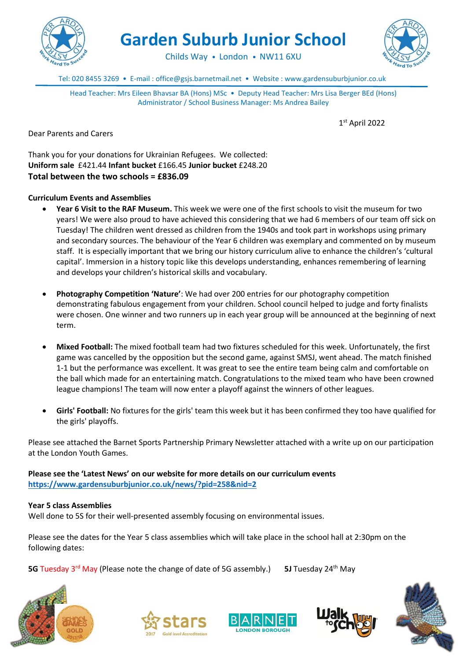

**Garden Suburb Junior School**



Childs Way • London • NW11 6XU

Tel: 020 8455 3269 • E-mail : office@gsjs.barnetmail.net • Website : www.gardensuburbjunior.co.uk

Head Teacher: Mrs Eileen Bhavsar BA (Hons) MSc • Deputy Head Teacher: Mrs Lisa Berger BEd (Hons) Administrator / School Business Manager: Ms Andrea Bailey

1 st April 2022

Dear Parents and Carers

Thank you for your donations for Ukrainian Refugees. We collected: **Uniform sale** £421.44 **Infant bucket** £166.45 **Junior bucket** £248.20 **Total between the two schools = £836.09**

## **Curriculum Events and Assemblies**

- **Year 6 Visit to the RAF Museum.** This week we were one of the first schools to visit the museum for two years! We were also proud to have achieved this considering that we had 6 members of our team off sick on Tuesday! The children went dressed as children from the 1940s and took part in workshops using primary and secondary sources. The behaviour of the Year 6 children was exemplary and commented on by museum staff. It is especially important that we bring our history curriculum alive to enhance the children's 'cultural capital'. Immersion in a history topic like this develops understanding, enhances remembering of learning and develops your children's historical skills and vocabulary.
- **Photography Competition 'Nature'**: We had over 200 entries for our photography competition demonstrating fabulous engagement from your children. School council helped to judge and forty finalists were chosen. One winner and two runners up in each year group will be announced at the beginning of next term.
- **Mixed Football:** The mixed football team had two fixtures scheduled for this week. Unfortunately, the first game was cancelled by the opposition but the second game, against SMSJ, went ahead. The match finished 1-1 but the performance was excellent. It was great to see the entire team being calm and comfortable on the ball which made for an entertaining match. Congratulations to the mixed team who have been crowned league champions! The team will now enter a playoff against the winners of other leagues.
- **Girls' Football:** No fixtures for the girls' team this week but it has been confirmed they too have qualified for the girls' playoffs.

Please see attached the Barnet Sports Partnership Primary Newsletter attached with a write up on our participation at the London Youth Games.

**Please see the 'Latest News' on our website for more details on our curriculum events <https://www.gardensuburbjunior.co.uk/news/?pid=258&nid=2>**

**Year 5 class Assemblies** Well done to 5S for their well-presented assembly focusing on environmental issues.

Please see the dates for the Year 5 class assemblies which will take place in the school hall at 2:30pm on the following dates:

**5G** Tuesday 3<sup>rd</sup> May (Please note the change of date of 5G assembly.) **5J** Tuesday 24<sup>th</sup> May